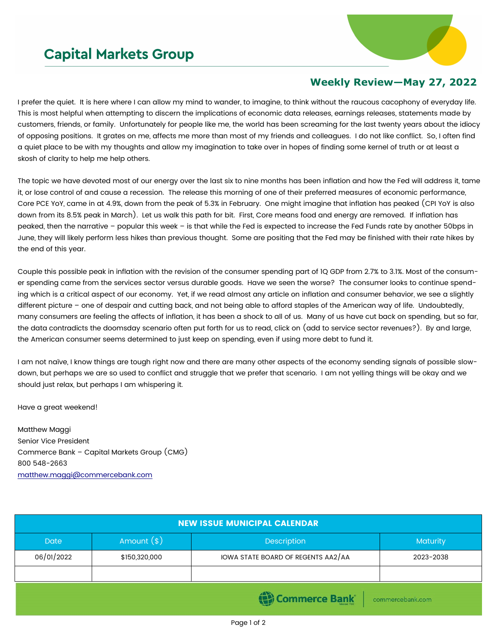## **Capital Markets Group**



## **Weekly Review—May 27, 2022**

I prefer the quiet. It is here where I can allow my mind to wander, to imagine, to think without the raucous cacophony of everyday life. This is most helpful when attempting to discern the implications of economic data releases, earnings releases, statements made by customers, friends, or family. Unfortunately for people like me, the world has been screaming for the last twenty years about the idiocy of opposing positions. It grates on me, affects me more than most of my friends and colleagues. I do not like conflict. So, I often find a quiet place to be with my thoughts and allow my imagination to take over in hopes of finding some kernel of truth or at least a skosh of clarity to help me help others.

The topic we have devoted most of our energy over the last six to nine months has been inflation and how the Fed will address it, tame it, or lose control of and cause a recession. The release this morning of one of their preferred measures of economic performance, Core PCE YoY, came in at 4.9%, down from the peak of 5.3% in February. One might imagine that inflation has peaked (CPI YoY is also down from its 8.5% peak in March). Let us walk this path for bit. First, Core means food and energy are removed. If inflation has peaked, then the narrative – popular this week – is that while the Fed is expected to increase the Fed Funds rate by another 50bps in June, they will likely perform less hikes than previous thought. Some are positing that the Fed may be finished with their rate hikes by the end of this year.

Couple this possible peak in inflation with the revision of the consumer spending part of 1Q GDP from 2.7% to 3.1%. Most of the consumer spending came from the services sector versus durable goods. Have we seen the worse? The consumer looks to continue spending which is a critical aspect of our economy. Yet, if we read almost any article on inflation and consumer behavior, we see a slightly different picture – one of despair and cutting back, and not being able to afford staples of the American way of life. Undoubtedly, many consumers are feeling the affects of inflation, it has been a shock to all of us. Many of us have cut back on spending, but so far, the data contradicts the doomsday scenario often put forth for us to read, click on (add to service sector revenues?). By and large, the American consumer seems determined to just keep on spending, even if using more debt to fund it.

I am not naïve, I know things are tough right now and there are many other aspects of the economy sending signals of possible slowdown, but perhaps we are so used to conflict and struggle that we prefer that scenario. I am not yelling things will be okay and we should just relax, but perhaps I am whispering it.

Have a great weekend!

Matthew Maggi Senior Vice President Commerce Bank – Capital Markets Group (CMG) 800 548-2663 [matthew.maggi@commercebank.com](mailto:matthew.maggi@commercebank.com)

| <b>NEW ISSUE MUNICIPAL CALENDAR</b> |               |                                    |                 |  |  |  |
|-------------------------------------|---------------|------------------------------------|-----------------|--|--|--|
| <b>Date</b>                         | Amount $(*)$  | <b>Description</b>                 | <b>Maturity</b> |  |  |  |
| 06/01/2022                          | \$150,320,000 | IOWA STATE BOARD OF REGENTS AA2/AA | 2023-2038       |  |  |  |
|                                     |               |                                    |                 |  |  |  |
| (Commerce Bank<br>commercebank.com  |               |                                    |                 |  |  |  |